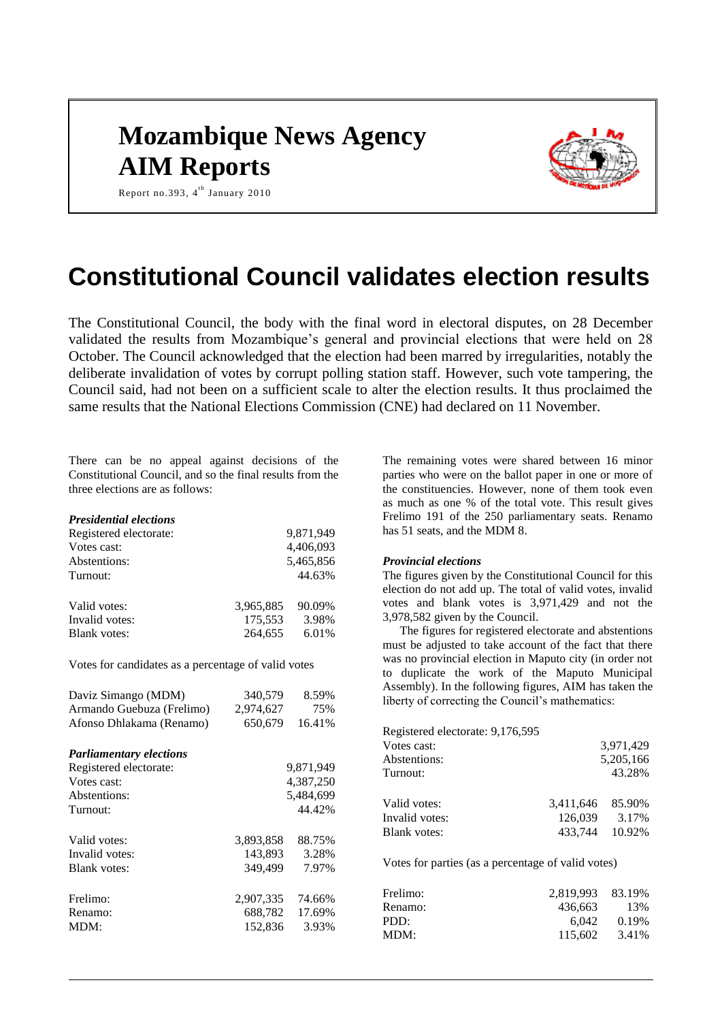# **Mozambique News Agency AIM Reports**



Report no.393, 4<sup>th</sup> January 2010

# **Constitutional Council validates election results**

The Constitutional Council, the body with the final word in electoral disputes, on 28 December validated the results from Mozambique's general and provincial elections that were held on 28 October. The Council acknowledged that the election had been marred by irregularities, notably the deliberate invalidation of votes by corrupt polling station staff. However, such vote tampering, the Council said, had not been on a sufficient scale to alter the election results. It thus proclaimed the same results that the National Elections Commission (CNE) had declared on 11 November.

There can be no appeal against decisions of the Constitutional Council, and so the final results from the three elections are as follows:

#### *Presidential elections*

| Registered electorate: |           | 9,871,949 |
|------------------------|-----------|-----------|
| Votes cast:            |           | 4,406,093 |
| Abstentions:           |           | 5,465,856 |
| Turnout:               |           | 44.63%    |
| Valid votes:           | 3.965.885 | 90.09%    |
| Invalid votes:         | 175,553   | 3.98%     |
| <b>Blank</b> votes:    | 264.655   | 6.01%     |

Votes for candidates as a percentage of valid votes

| Daviz Simango (MDM)<br>Armando Guebuza (Frelimo)<br>Afonso Dhlakama (Renamo) | 340,579<br>2,974,627<br>650,679 | 8.59%<br>75%<br>16.41%    |
|------------------------------------------------------------------------------|---------------------------------|---------------------------|
| <b>Parliamentary elections</b>                                               |                                 |                           |
| Registered electorate:                                                       |                                 | 9,871,949                 |
| Votes cast:                                                                  | 4,387,250                       |                           |
| Abstentions:                                                                 | 5,484,699                       |                           |
| Turnout:                                                                     |                                 | 44.42%                    |
| Valid votes:                                                                 | 3,893,858                       | 88.75%                    |
| Invalid votes:                                                               | 143.893                         | 3.28%                     |
| Blank votes:                                                                 | 349,499                         | 7.97%                     |
| Frelimo:<br>Renamo:<br>MDM:                                                  | 2,907,335<br>688,782<br>152,836 | 74.66%<br>17.69%<br>3.93% |

The remaining votes were shared between 16 minor parties who were on the ballot paper in one or more of the constituencies. However, none of them took even as much as one % of the total vote. This result gives Frelimo 191 of the 250 parliamentary seats. Renamo has 51 seats, and the MDM 8.

#### *Provincial elections*

The figures given by the Constitutional Council for this election do not add up. The total of valid votes, invalid votes and blank votes is 3,971,429 and not the 3,978,582 given by the Council.

The figures for registered electorate and abstentions must be adjusted to take account of the fact that there was no provincial election in Maputo city (in order not to duplicate the work of the Maputo Municipal Assembly). In the following figures, AIM has taken the liberty of correcting the Council's mathematics:

| Registered electorate: 9,176,595 |                  |           |
|----------------------------------|------------------|-----------|
| Votes cast:                      |                  | 3,971,429 |
| Abstentions:                     |                  | 5,205,166 |
| Turnout:                         |                  | 43.28%    |
|                                  |                  |           |
| Valid votes:                     | 3,411,646 85.90% |           |
| Invalid votes:                   | 126.039          | 3.17%     |
| <b>Blank</b> votes:              | 433.744          | 10.92%    |
|                                  |                  |           |

Votes for parties (as a percentage of valid votes)

| Frelimo: | 2.819.993 83.19% |       |
|----------|------------------|-------|
| Renamo:  | 436.663          | 13%   |
| PDD:     | 6.042            | 0.19% |
| MDM:     | 115.602          | 3.41% |
|          |                  |       |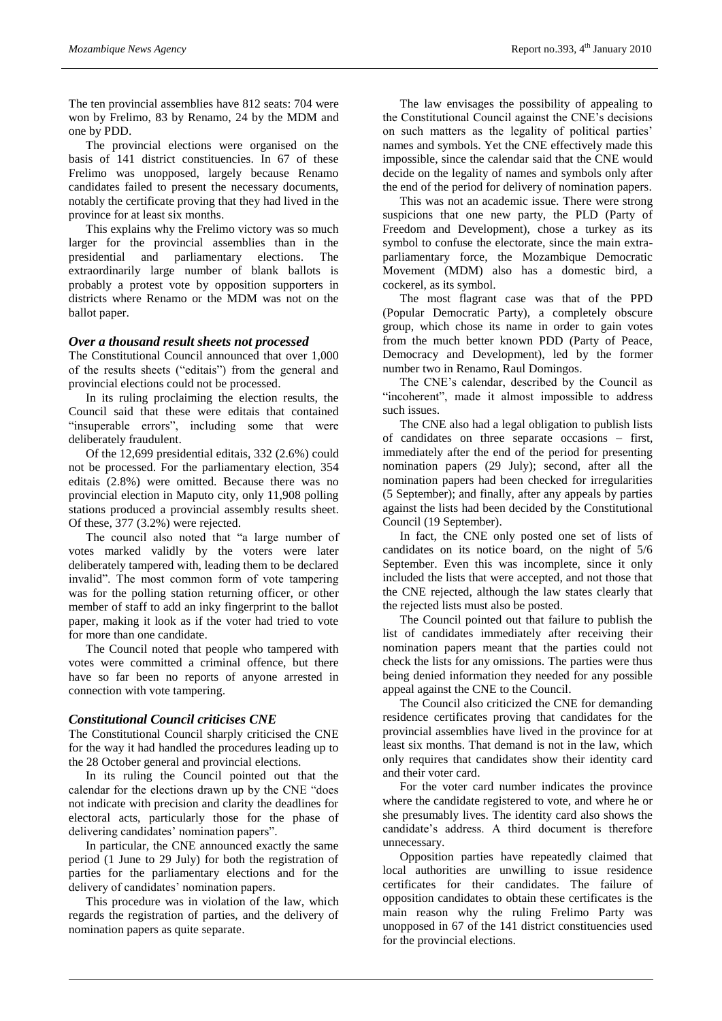The ten provincial assemblies have 812 seats: 704 were won by Frelimo, 83 by Renamo, 24 by the MDM and one by PDD.

The provincial elections were organised on the basis of 141 district constituencies. In 67 of these Frelimo was unopposed, largely because Renamo candidates failed to present the necessary documents, notably the certificate proving that they had lived in the province for at least six months.

This explains why the Frelimo victory was so much larger for the provincial assemblies than in the presidential and parliamentary elections. The extraordinarily large number of blank ballots is probably a protest vote by opposition supporters in districts where Renamo or the MDM was not on the ballot paper.

#### *Over a thousand result sheets not processed*

The Constitutional Council announced that over 1,000 of the results sheets ("editais") from the general and provincial elections could not be processed.

In its ruling proclaiming the election results, the Council said that these were editais that contained "insuperable errors", including some that were deliberately fraudulent.

Of the 12,699 presidential editais, 332 (2.6%) could not be processed. For the parliamentary election, 354 editais (2.8%) were omitted. Because there was no provincial election in Maputo city, only 11,908 polling stations produced a provincial assembly results sheet. Of these, 377 (3.2%) were rejected.

The council also noted that "a large number of votes marked validly by the voters were later deliberately tampered with, leading them to be declared invalid". The most common form of vote tampering was for the polling station returning officer, or other member of staff to add an inky fingerprint to the ballot paper, making it look as if the voter had tried to vote for more than one candidate.

The Council noted that people who tampered with votes were committed a criminal offence, but there have so far been no reports of anyone arrested in connection with vote tampering.

#### *Constitutional Council criticises CNE*

The Constitutional Council sharply criticised the CNE for the way it had handled the procedures leading up to the 28 October general and provincial elections.

In its ruling the Council pointed out that the calendar for the elections drawn up by the CNE "does not indicate with precision and clarity the deadlines for electoral acts, particularly those for the phase of delivering candidates' nomination papers".

In particular, the CNE announced exactly the same period (1 June to 29 July) for both the registration of parties for the parliamentary elections and for the delivery of candidates' nomination papers.

This procedure was in violation of the law, which regards the registration of parties, and the delivery of nomination papers as quite separate.

The law envisages the possibility of appealing to the Constitutional Council against the CNE's decisions on such matters as the legality of political parties' names and symbols. Yet the CNE effectively made this impossible, since the calendar said that the CNE would decide on the legality of names and symbols only after the end of the period for delivery of nomination papers.

This was not an academic issue. There were strong suspicions that one new party, the PLD (Party of Freedom and Development), chose a turkey as its symbol to confuse the electorate, since the main extraparliamentary force, the Mozambique Democratic Movement (MDM) also has a domestic bird, a cockerel, as its symbol.

The most flagrant case was that of the PPD (Popular Democratic Party), a completely obscure group, which chose its name in order to gain votes from the much better known PDD (Party of Peace, Democracy and Development), led by the former number two in Renamo, Raul Domingos.

The CNE's calendar, described by the Council as "incoherent", made it almost impossible to address such issues.

The CNE also had a legal obligation to publish lists of candidates on three separate occasions – first, immediately after the end of the period for presenting nomination papers (29 July); second, after all the nomination papers had been checked for irregularities (5 September); and finally, after any appeals by parties against the lists had been decided by the Constitutional Council (19 September).

In fact, the CNE only posted one set of lists of candidates on its notice board, on the night of 5/6 September. Even this was incomplete, since it only included the lists that were accepted, and not those that the CNE rejected, although the law states clearly that the rejected lists must also be posted.

The Council pointed out that failure to publish the list of candidates immediately after receiving their nomination papers meant that the parties could not check the lists for any omissions. The parties were thus being denied information they needed for any possible appeal against the CNE to the Council.

The Council also criticized the CNE for demanding residence certificates proving that candidates for the provincial assemblies have lived in the province for at least six months. That demand is not in the law, which only requires that candidates show their identity card and their voter card.

For the voter card number indicates the province where the candidate registered to vote, and where he or she presumably lives. The identity card also shows the candidate's address. A third document is therefore unnecessary.

Opposition parties have repeatedly claimed that local authorities are unwilling to issue residence certificates for their candidates. The failure of opposition candidates to obtain these certificates is the main reason why the ruling Frelimo Party was unopposed in 67 of the 141 district constituencies used for the provincial elections.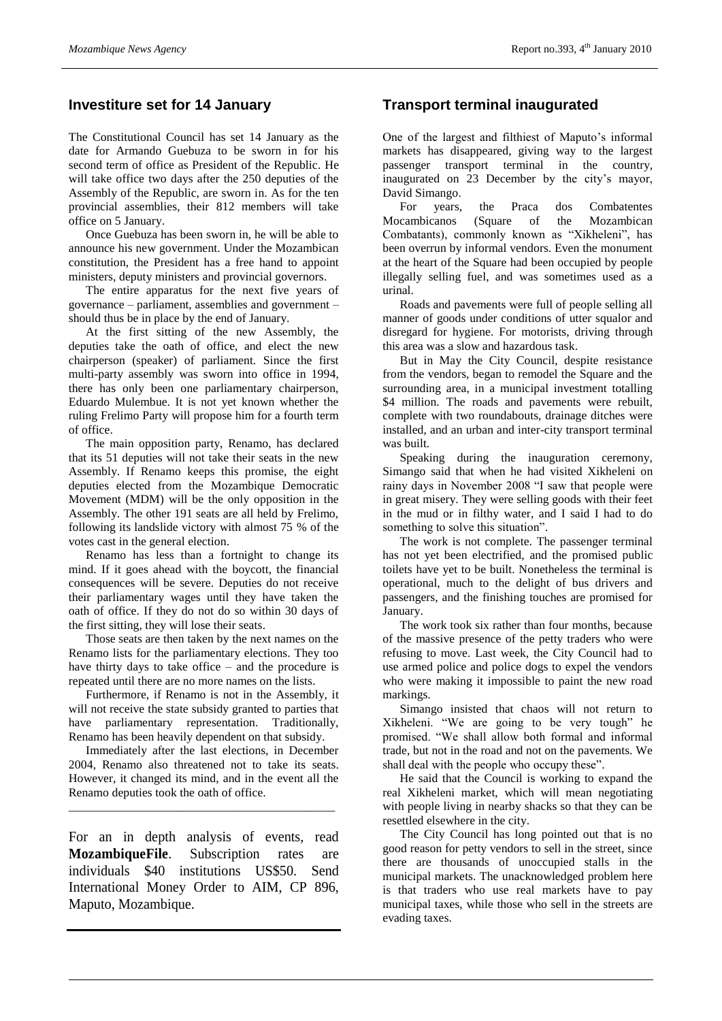## **Investiture set for 14 January**

The Constitutional Council has set 14 January as the date for Armando Guebuza to be sworn in for his second term of office as President of the Republic. He will take office two days after the 250 deputies of the Assembly of the Republic, are sworn in. As for the ten provincial assemblies, their 812 members will take office on 5 January.

Once Guebuza has been sworn in, he will be able to announce his new government. Under the Mozambican constitution, the President has a free hand to appoint ministers, deputy ministers and provincial governors.

The entire apparatus for the next five years of governance – parliament, assemblies and government – should thus be in place by the end of January.

At the first sitting of the new Assembly, the deputies take the oath of office, and elect the new chairperson (speaker) of parliament. Since the first multi-party assembly was sworn into office in 1994, there has only been one parliamentary chairperson, Eduardo Mulembue. It is not yet known whether the ruling Frelimo Party will propose him for a fourth term of office.

The main opposition party, Renamo, has declared that its 51 deputies will not take their seats in the new Assembly. If Renamo keeps this promise, the eight deputies elected from the Mozambique Democratic Movement (MDM) will be the only opposition in the Assembly. The other 191 seats are all held by Frelimo, following its landslide victory with almost 75 % of the votes cast in the general election.

Renamo has less than a fortnight to change its mind. If it goes ahead with the boycott, the financial consequences will be severe. Deputies do not receive their parliamentary wages until they have taken the oath of office. If they do not do so within 30 days of the first sitting, they will lose their seats.

Those seats are then taken by the next names on the Renamo lists for the parliamentary elections. They too have thirty days to take office – and the procedure is repeated until there are no more names on the lists.

Furthermore, if Renamo is not in the Assembly, it will not receive the state subsidy granted to parties that have parliamentary representation. Traditionally, Renamo has been heavily dependent on that subsidy.

Immediately after the last elections, in December 2004, Renamo also threatened not to take its seats. However, it changed its mind, and in the event all the Renamo deputies took the oath of office.

\_\_\_\_\_\_\_\_\_\_\_\_\_\_\_\_\_\_\_\_\_\_\_\_\_\_\_\_\_\_\_\_\_\_\_\_\_\_\_\_\_\_\_\_

For an in depth analysis of events, read **MozambiqueFile**. Subscription rates are individuals \$40 institutions US\$50. Send International Money Order to AIM, CP 896, Maputo, Mozambique.

## **Transport terminal inaugurated**

One of the largest and filthiest of Maputo's informal markets has disappeared, giving way to the largest passenger transport terminal in the country, inaugurated on 23 December by the city's mayor, David Simango.

For years, the Praca dos Combatentes Mocambicanos (Square of the Mozambican Combatants), commonly known as "Xikheleni", has been overrun by informal vendors. Even the monument at the heart of the Square had been occupied by people illegally selling fuel, and was sometimes used as a urinal.

Roads and pavements were full of people selling all manner of goods under conditions of utter squalor and disregard for hygiene. For motorists, driving through this area was a slow and hazardous task.

But in May the City Council, despite resistance from the vendors, began to remodel the Square and the surrounding area, in a municipal investment totalling \$4 million. The roads and pavements were rebuilt, complete with two roundabouts, drainage ditches were installed, and an urban and inter-city transport terminal was built.

Speaking during the inauguration ceremony, Simango said that when he had visited Xikheleni on rainy days in November 2008 "I saw that people were in great misery. They were selling goods with their feet in the mud or in filthy water, and I said I had to do something to solve this situation".

The work is not complete. The passenger terminal has not yet been electrified, and the promised public toilets have yet to be built. Nonetheless the terminal is operational, much to the delight of bus drivers and passengers, and the finishing touches are promised for January.

The work took six rather than four months, because of the massive presence of the petty traders who were refusing to move. Last week, the City Council had to use armed police and police dogs to expel the vendors who were making it impossible to paint the new road markings.

Simango insisted that chaos will not return to Xikheleni. "We are going to be very tough" he promised. "We shall allow both formal and informal trade, but not in the road and not on the pavements. We shall deal with the people who occupy these".

He said that the Council is working to expand the real Xikheleni market, which will mean negotiating with people living in nearby shacks so that they can be resettled elsewhere in the city.

The City Council has long pointed out that is no good reason for petty vendors to sell in the street, since there are thousands of unoccupied stalls in the municipal markets. The unacknowledged problem here is that traders who use real markets have to pay municipal taxes, while those who sell in the streets are evading taxes.